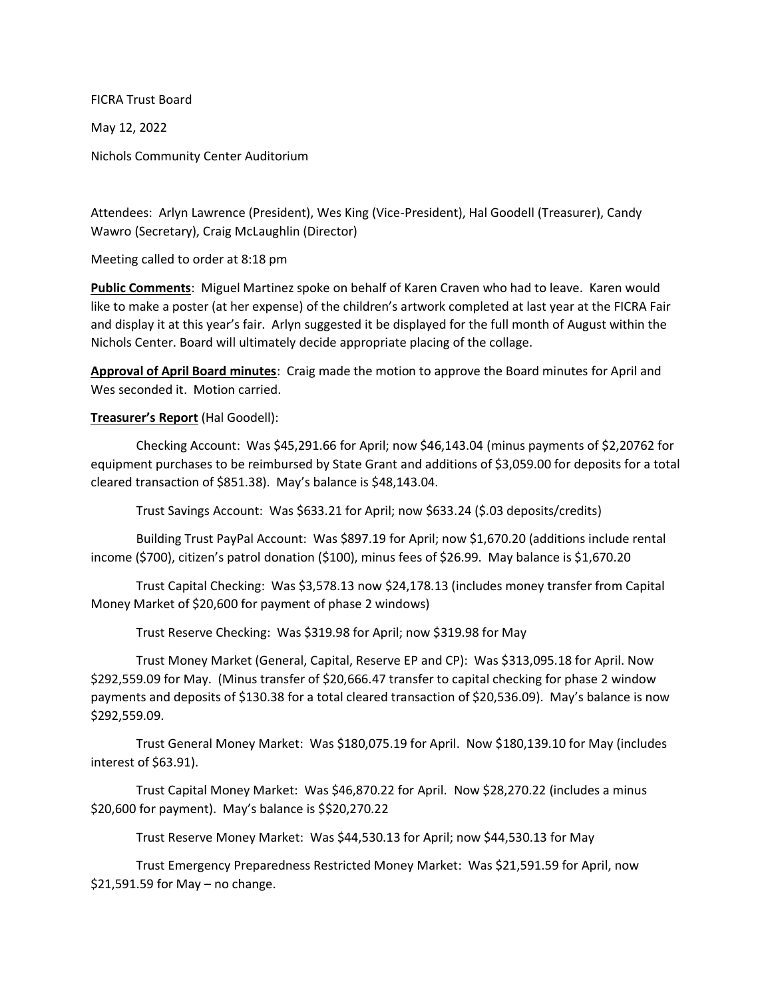FICRA Trust Board

May 12, 2022

Nichols Community Center Auditorium

Attendees: Arlyn Lawrence (President), Wes King (Vice-President), Hal Goodell (Treasurer), Candy Wawro (Secretary), Craig McLaughlin (Director)

Meeting called to order at 8:18 pm

**Public Comments**: Miguel Martinez spoke on behalf of Karen Craven who had to leave. Karen would like to make a poster (at her expense) of the children's artwork completed at last year at the FICRA Fair and display it at this year's fair. Arlyn suggested it be displayed for the full month of August within the Nichols Center. Board will ultimately decide appropriate placing of the collage.

**Approval of April Board minutes**: Craig made the motion to approve the Board minutes for April and Wes seconded it. Motion carried.

## **Treasurer's Report** (Hal Goodell):

Checking Account: Was \$45,291.66 for April; now \$46,143.04 (minus payments of \$2,20762 for equipment purchases to be reimbursed by State Grant and additions of \$3,059.00 for deposits for a total cleared transaction of \$851.38). May's balance is \$48,143.04.

Trust Savings Account: Was \$633.21 for April; now \$633.24 (\$.03 deposits/credits)

Building Trust PayPal Account: Was \$897.19 for April; now \$1,670.20 (additions include rental income (\$700), citizen's patrol donation (\$100), minus fees of \$26.99. May balance is \$1,670.20

Trust Capital Checking: Was \$3,578.13 now \$24,178.13 (includes money transfer from Capital Money Market of \$20,600 for payment of phase 2 windows)

Trust Reserve Checking: Was \$319.98 for April; now \$319.98 for May

Trust Money Market (General, Capital, Reserve EP and CP): Was \$313,095.18 for April. Now \$292,559.09 for May. (Minus transfer of \$20,666.47 transfer to capital checking for phase 2 window payments and deposits of \$130.38 for a total cleared transaction of \$20,536.09). May's balance is now \$292,559.09.

Trust General Money Market: Was \$180,075.19 for April. Now \$180,139.10 for May (includes interest of \$63.91).

Trust Capital Money Market: Was \$46,870.22 for April. Now \$28,270.22 (includes a minus \$20,600 for payment). May's balance is \$\$20,270.22

Trust Reserve Money Market: Was \$44,530.13 for April; now \$44,530.13 for May

Trust Emergency Preparedness Restricted Money Market: Was \$21,591.59 for April, now \$21,591.59 for May – no change.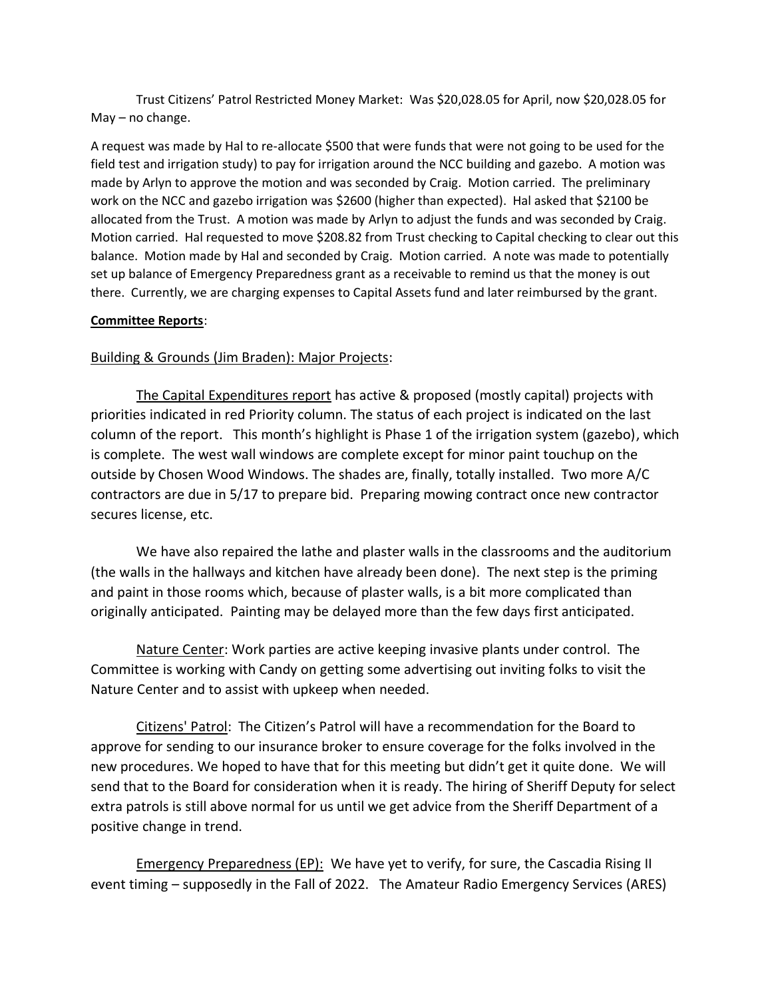Trust Citizens' Patrol Restricted Money Market: Was \$20,028.05 for April, now \$20,028.05 for May – no change.

A request was made by Hal to re-allocate \$500 that were funds that were not going to be used for the field test and irrigation study) to pay for irrigation around the NCC building and gazebo. A motion was made by Arlyn to approve the motion and was seconded by Craig. Motion carried. The preliminary work on the NCC and gazebo irrigation was \$2600 (higher than expected). Hal asked that \$2100 be allocated from the Trust. A motion was made by Arlyn to adjust the funds and was seconded by Craig. Motion carried. Hal requested to move \$208.82 from Trust checking to Capital checking to clear out this balance. Motion made by Hal and seconded by Craig. Motion carried. A note was made to potentially set up balance of Emergency Preparedness grant as a receivable to remind us that the money is out there. Currently, we are charging expenses to Capital Assets fund and later reimbursed by the grant.

## **Committee Reports**:

## Building & Grounds (Jim Braden): Major Projects:

The Capital Expenditures report has active & proposed (mostly capital) projects with priorities indicated in red Priority column. The status of each project is indicated on the last column of the report. This month's highlight is Phase 1 of the irrigation system (gazebo), which is complete. The west wall windows are complete except for minor paint touchup on the outside by Chosen Wood Windows. The shades are, finally, totally installed. Two more A/C contractors are due in 5/17 to prepare bid. Preparing mowing contract once new contractor secures license, etc.

We have also repaired the lathe and plaster walls in the classrooms and the auditorium (the walls in the hallways and kitchen have already been done). The next step is the priming and paint in those rooms which, because of plaster walls, is a bit more complicated than originally anticipated. Painting may be delayed more than the few days first anticipated.

Nature Center: Work parties are active keeping invasive plants under control. The Committee is working with Candy on getting some advertising out inviting folks to visit the Nature Center and to assist with upkeep when needed.

Citizens' Patrol: The Citizen's Patrol will have a recommendation for the Board to approve for sending to our insurance broker to ensure coverage for the folks involved in the new procedures. We hoped to have that for this meeting but didn't get it quite done. We will send that to the Board for consideration when it is ready. The hiring of Sheriff Deputy for select extra patrols is still above normal for us until we get advice from the Sheriff Department of a positive change in trend.

Emergency Preparedness (EP): We have yet to verify, for sure, the Cascadia Rising II event timing – supposedly in the Fall of 2022. The Amateur Radio Emergency Services (ARES)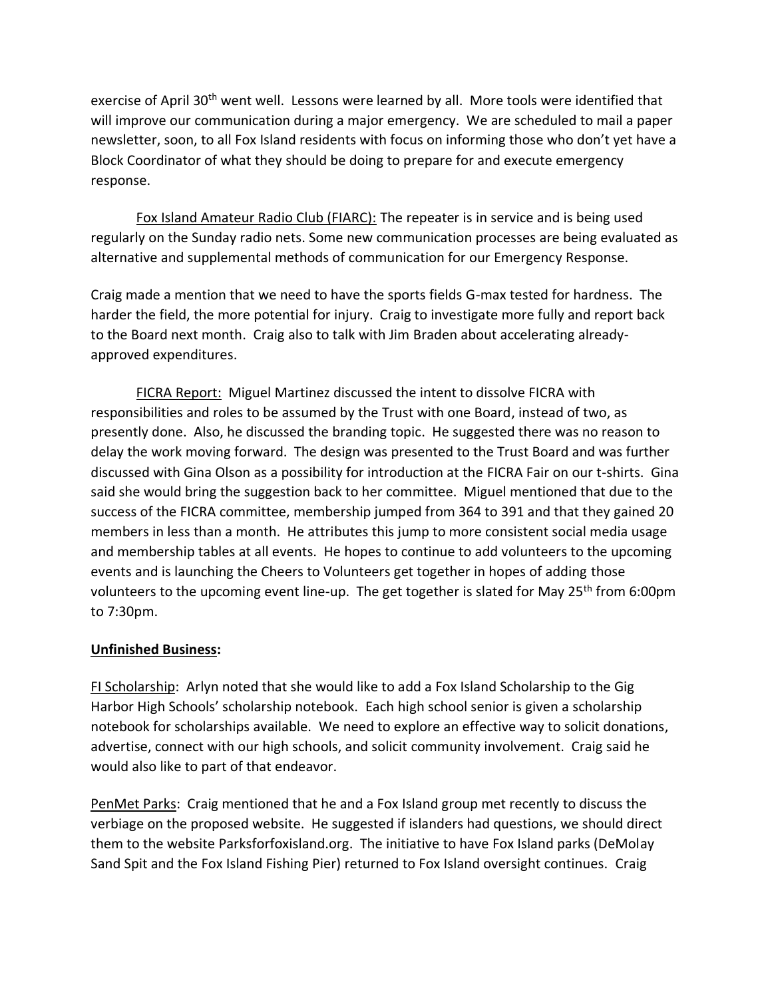exercise of April 30<sup>th</sup> went well. Lessons were learned by all. More tools were identified that will improve our communication during a major emergency. We are scheduled to mail a paper newsletter, soon, to all Fox Island residents with focus on informing those who don't yet have a Block Coordinator of what they should be doing to prepare for and execute emergency response.

Fox Island Amateur Radio Club (FIARC): The repeater is in service and is being used regularly on the Sunday radio nets. Some new communication processes are being evaluated as alternative and supplemental methods of communication for our Emergency Response.

Craig made a mention that we need to have the sports fields G-max tested for hardness. The harder the field, the more potential for injury. Craig to investigate more fully and report back to the Board next month. Craig also to talk with Jim Braden about accelerating alreadyapproved expenditures.

FICRA Report: Miguel Martinez discussed the intent to dissolve FICRA with responsibilities and roles to be assumed by the Trust with one Board, instead of two, as presently done. Also, he discussed the branding topic. He suggested there was no reason to delay the work moving forward. The design was presented to the Trust Board and was further discussed with Gina Olson as a possibility for introduction at the FICRA Fair on our t-shirts. Gina said she would bring the suggestion back to her committee. Miguel mentioned that due to the success of the FICRA committee, membership jumped from 364 to 391 and that they gained 20 members in less than a month. He attributes this jump to more consistent social media usage and membership tables at all events. He hopes to continue to add volunteers to the upcoming events and is launching the Cheers to Volunteers get together in hopes of adding those volunteers to the upcoming event line-up. The get together is slated for May 25<sup>th</sup> from 6:00pm to 7:30pm.

## **Unfinished Business:**

FI Scholarship: Arlyn noted that she would like to add a Fox Island Scholarship to the Gig Harbor High Schools' scholarship notebook. Each high school senior is given a scholarship notebook for scholarships available. We need to explore an effective way to solicit donations, advertise, connect with our high schools, and solicit community involvement. Craig said he would also like to part of that endeavor.

PenMet Parks: Craig mentioned that he and a Fox Island group met recently to discuss the verbiage on the proposed website. He suggested if islanders had questions, we should direct them to the website Parksforfoxisland.org. The initiative to have Fox Island parks (DeMolay Sand Spit and the Fox Island Fishing Pier) returned to Fox Island oversight continues. Craig